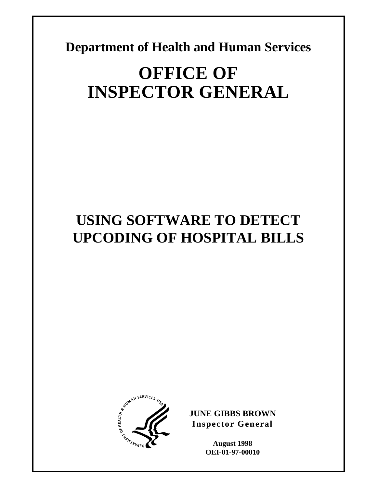**Department of Health and Human Services** 

# **OFFICE OF INSPECTOR GENERAL**

# **USING SOFTWARE TO DETECT UPCODING OF HOSPITAL BILLS**



**JUNE GIBBS BROWN Inspector General** 

> **August 1998 OEI-01-97-00010**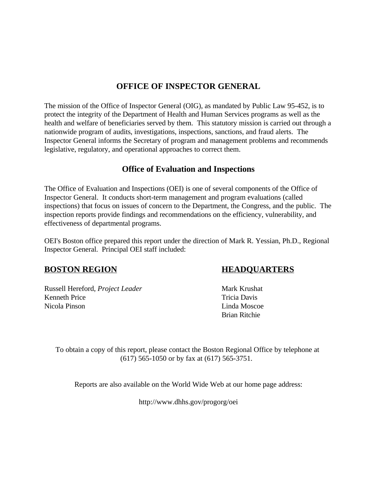### **OFFICE OF INSPECTOR GENERAL**

The mission of the Office of Inspector General (OIG), as mandated by Public Law 95-452, is to protect the integrity of the Department of Health and Human Services programs as well as the health and welfare of beneficiaries served by them. This statutory mission is carried out through a nationwide program of audits, investigations, inspections, sanctions, and fraud alerts. The Inspector General informs the Secretary of program and management problems and recommends legislative, regulatory, and operational approaches to correct them.

### **Office of Evaluation and Inspections**

The Office of Evaluation and Inspections (OEI) is one of several components of the Office of Inspector General. It conducts short-term management and program evaluations (called inspections) that focus on issues of concern to the Department, the Congress, and the public. The inspection reports provide findings and recommendations on the efficiency, vulnerability, and effectiveness of departmental programs.

OEI's Boston office prepared this report under the direction of Mark R. Yessian, Ph.D., Regional Inspector General. Principal OEI staff included:

### **BOSTON REGION HEADQUARTERS**

Russell Hereford, *Project Leader* Mark Krushat Kenneth Price Tricia Davis Nicola Pinson and Linda Moscoe Linda Moscoe

Brian Ritchie

To obtain a copy of this report, please contact the Boston Regional Office by telephone at (617) 565-1050 or by fax at (617) 565-3751.

Reports are also available on the World Wide Web at our home page address:

http://www.dhhs.gov/progorg/oei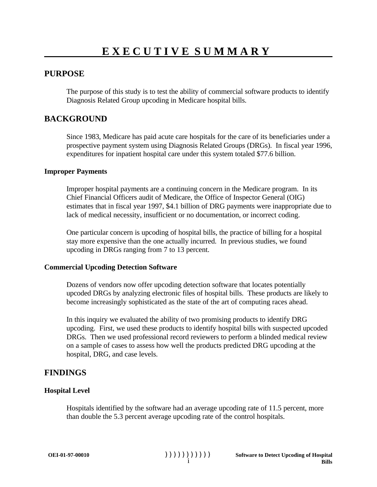### **PURPOSE**

The purpose of this study is to test the ability of commercial software products to identify Diagnosis Related Group upcoding in Medicare hospital bills.

#### **BACKGROUND**

Since 1983, Medicare has paid acute care hospitals for the care of its beneficiaries under a prospective payment system using Diagnosis Related Groups (DRGs). In fiscal year 1996, expenditures for inpatient hospital care under this system totaled \$77.6 billion.

#### **Improper Payments**

Improper hospital payments are a continuing concern in the Medicare program. In its Chief Financial Officers audit of Medicare, the Office of Inspector General (OIG) estimates that in fiscal year 1997, \$4.1 billion of DRG payments were inappropriate due to lack of medical necessity, insufficient or no documentation, or incorrect coding.

One particular concern is upcoding of hospital bills, the practice of billing for a hospital stay more expensive than the one actually incurred. In previous studies, we found upcoding in DRGs ranging from 7 to 13 percent.

#### **Commercial Upcoding Detection Software**

Dozens of vendors now offer upcoding detection software that locates potentially upcoded DRGs by analyzing electronic files of hospital bills. These products are likely to become increasingly sophisticated as the state of the art of computing races ahead.

In this inquiry we evaluated the ability of two promising products to identify DRG upcoding. First, we used these products to identify hospital bills with suspected upcoded DRGs. Then we used professional record reviewers to perform a blinded medical review on a sample of cases to assess how well the products predicted DRG upcoding at the hospital, DRG, and case levels.

#### **FINDINGS**

#### **Hospital Level**

Hospitals identified by the software had an average upcoding rate of 11.5 percent, more than double the 5.3 percent average upcoding rate of the control hospitals.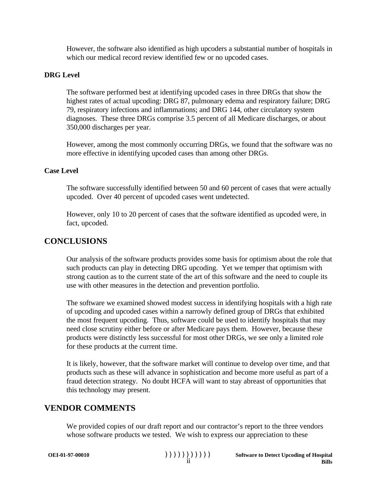However, the software also identified as high upcoders a substantial number of hospitals in which our medical record review identified few or no upcoded cases.

#### **DRG Level**

The software performed best at identifying upcoded cases in three DRGs that show the highest rates of actual upcoding: DRG 87, pulmonary edema and respiratory failure; DRG 79, respiratory infections and inflammations; and DRG 144, other circulatory system diagnoses. These three DRGs comprise 3.5 percent of all Medicare discharges, or about 350,000 discharges per year.

However, among the most commonly occurring DRGs, we found that the software was no more effective in identifying upcoded cases than among other DRGs.

#### **Case Level**

The software successfully identified between 50 and 60 percent of cases that were actually upcoded. Over 40 percent of upcoded cases went undetected.

However, only 10 to 20 percent of cases that the software identified as upcoded were, in fact, upcoded.

### **CONCLUSIONS**

Our analysis of the software products provides some basis for optimism about the role that such products can play in detecting DRG upcoding. Yet we temper that optimism with strong caution as to the current state of the art of this software and the need to couple its use with other measures in the detection and prevention portfolio.

The software we examined showed modest success in identifying hospitals with a high rate of upcoding and upcoded cases within a narrowly defined group of DRGs that exhibited the most frequent upcoding. Thus, software could be used to identify hospitals that may need close scrutiny either before or after Medicare pays them. However, because these products were distinctly less successful for most other DRGs, we see only a limited role for these products at the current time.

It is likely, however, that the software market will continue to develop over time, and that products such as these will advance in sophistication and become more useful as part of a fraud detection strategy. No doubt HCFA will want to stay abreast of opportunities that this technology may present.

#### **VENDOR COMMENTS**

We provided copies of our draft report and our contractor's report to the three vendors whose software products we tested. We wish to express our appreciation to these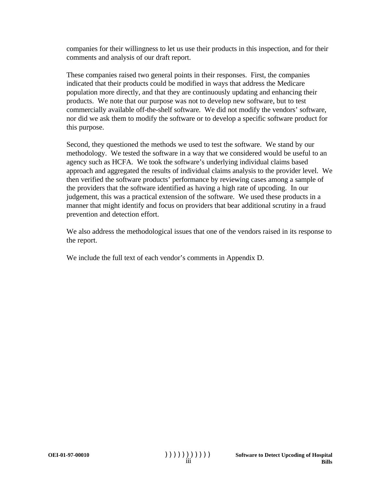companies for their willingness to let us use their products in this inspection, and for their comments and analysis of our draft report.

These companies raised two general points in their responses. First, the companies indicated that their products could be modified in ways that address the Medicare population more directly, and that they are continuously updating and enhancing their products. We note that our purpose was not to develop new software, but to test commercially available off-the-shelf software. We did not modify the vendors' software, nor did we ask them to modify the software or to develop a specific software product for this purpose.

Second, they questioned the methods we used to test the software. We stand by our methodology. We tested the software in a way that we considered would be useful to an agency such as HCFA. We took the software's underlying individual claims based approach and aggregated the results of individual claims analysis to the provider level. We then verified the software products' performance by reviewing cases among a sample of the providers that the software identified as having a high rate of upcoding. In our judgement, this was a practical extension of the software. We used these products in a manner that might identify and focus on providers that bear additional scrutiny in a fraud prevention and detection effort.

We also address the methodological issues that one of the vendors raised in its response to the report.

We include the full text of each vendor's comments in Appendix D.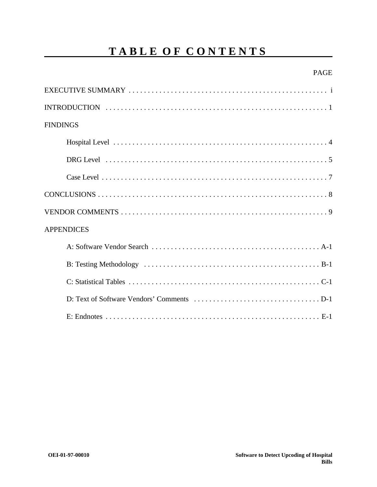# **TABLE OF CONTENTS**

#### PAGE

| <b>FINDINGS</b>   |
|-------------------|
|                   |
|                   |
|                   |
|                   |
|                   |
| <b>APPENDICES</b> |
|                   |
|                   |
|                   |
|                   |
|                   |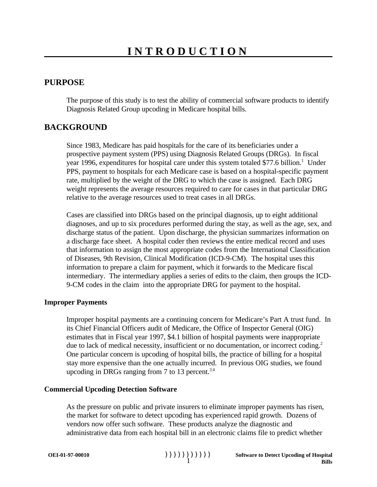#### **PURPOSE**

The purpose of this study is to test the ability of commercial software products to identify Diagnosis Related Group upcoding in Medicare hospital bills.

#### **BACKGROUND**

Since 1983, Medicare has paid hospitals for the care of its beneficiaries under a prospective payment system (PPS) using Diagnosis Related Groups (DRGs). In fiscal year 1996, expenditures for hospital care under this system totaled  $$77.6$  billion.<sup>1</sup> Under PPS, payment to hospitals for each Medicare case is based on a hospital-specific payment rate, multiplied by the weight of the DRG to which the case is assigned. Each DRG weight represents the average resources required to care for cases in that particular DRG relative to the average resources used to treat cases in all DRGs.

Cases are classified into DRGs based on the principal diagnosis, up to eight additional diagnoses, and up to six procedures performed during the stay, as well as the age, sex, and discharge status of the patient. Upon discharge, the physician summarizes information on a discharge face sheet. A hospital coder then reviews the entire medical record and uses that information to assign the most appropriate codes from the International Classification of Diseases, 9th Revision, Clinical Modification (ICD-9-CM). The hospital uses this information to prepare a claim for payment, which it forwards to the Medicare fiscal intermediary. The intermediary applies a series of edits to the claim, then groups the ICD-9-CM codes in the claim into the appropriate DRG for payment to the hospital.

#### **Improper Payments**

Improper hospital payments are a continuing concern for Medicare's Part A trust fund. In its Chief Financial Officers audit of Medicare, the Office of Inspector General (OIG) estimates that in Fiscal year 1997, \$4.1 billion of hospital payments were inappropriate due to lack of medical necessity, insufficient or no documentation, or incorrect coding.<sup>2</sup> One particular concern is upcoding of hospital bills, the practice of billing for a hospital stay more expensive than the one actually incurred. In previous OIG studies, we found upcoding in DRGs ranging from 7 to 13 percent.<sup>3,4</sup>

#### **Commercial Upcoding Detection Software**

As the pressure on public and private insurers to eliminate improper payments has risen, the market for software to detect upcoding has experienced rapid growth. Dozens of vendors now offer such software. These products analyze the diagnostic and administrative data from each hospital bill in an electronic claims file to predict whether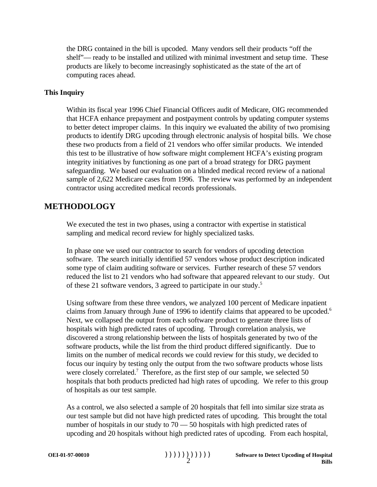the DRG contained in the bill is upcoded. Many vendors sell their products "off the shelf"— ready to be installed and utilized with minimal investment and setup time. These products are likely to become increasingly sophisticated as the state of the art of computing races ahead.

#### **This Inquiry**

Within its fiscal year 1996 Chief Financial Officers audit of Medicare, OIG recommended that HCFA enhance prepayment and postpayment controls by updating computer systems to better detect improper claims. In this inquiry we evaluated the ability of two promising products to identify DRG upcoding through electronic analysis of hospital bills. We chose these two products from a field of 21 vendors who offer similar products. We intended this test to be illustrative of how software might complement HCFA's existing program integrity initiatives by functioning as one part of a broad strategy for DRG payment safeguarding. We based our evaluation on a blinded medical record review of a national sample of 2,622 Medicare cases from 1996. The review was performed by an independent contractor using accredited medical records professionals.

#### **METHODOLOGY**

We executed the test in two phases, using a contractor with expertise in statistical sampling and medical record review for highly specialized tasks.

In phase one we used our contractor to search for vendors of upcoding detection software. The search initially identified 57 vendors whose product description indicated some type of claim auditing software or services. Further research of these 57 vendors reduced the list to 21 vendors who had software that appeared relevant to our study. Out of these 21 software vendors, 3 agreed to participate in our study.5

Using software from these three vendors, we analyzed 100 percent of Medicare inpatient claims from January through June of 1996 to identify claims that appeared to be upcoded.<sup>6</sup> Next, we collapsed the output from each software product to generate three lists of hospitals with high predicted rates of upcoding. Through correlation analysis, we discovered a strong relationship between the lists of hospitals generated by two of the software products, while the list from the third product differed significantly. Due to limits on the number of medical records we could review for this study, we decided to focus our inquiry by testing only the output from the two software products whose lists were closely correlated.<sup>7</sup> Therefore, as the first step of our sample, we selected 50 hospitals that both products predicted had high rates of upcoding. We refer to this group of hospitals as our test sample.

As a control, we also selected a sample of 20 hospitals that fell into similar size strata as our test sample but did not have high predicted rates of upcoding. This brought the total number of hospitals in our study to 70 — 50 hospitals with high predicted rates of upcoding and 20 hospitals without high predicted rates of upcoding. From each hospital,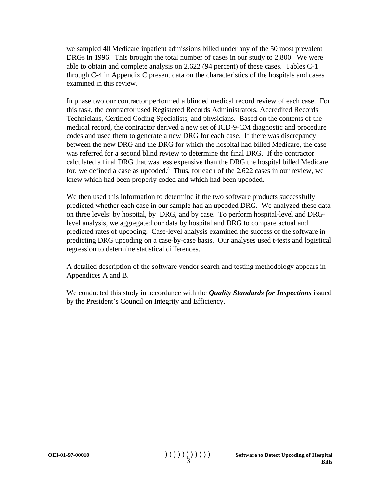we sampled 40 Medicare inpatient admissions billed under any of the 50 most prevalent DRGs in 1996. This brought the total number of cases in our study to 2,800. We were able to obtain and complete analysis on 2,622 (94 percent) of these cases. Tables C-1 through C-4 in Appendix C present data on the characteristics of the hospitals and cases examined in this review.

In phase two our contractor performed a blinded medical record review of each case. For this task, the contractor used Registered Records Administrators, Accredited Records Technicians, Certified Coding Specialists, and physicians. Based on the contents of the medical record, the contractor derived a new set of ICD-9-CM diagnostic and procedure codes and used them to generate a new DRG for each case. If there was discrepancy between the new DRG and the DRG for which the hospital had billed Medicare, the case was referred for a second blind review to determine the final DRG. If the contractor calculated a final DRG that was less expensive than the DRG the hospital billed Medicare for, we defined a case as upcoded.<sup>8</sup> Thus, for each of the 2,622 cases in our review, we knew which had been properly coded and which had been upcoded.

We then used this information to determine if the two software products successfully predicted whether each case in our sample had an upcoded DRG. We analyzed these data on three levels: by hospital, by DRG, and by case. To perform hospital-level and DRGlevel analysis, we aggregated our data by hospital and DRG to compare actual and predicted rates of upcoding. Case-level analysis examined the success of the software in predicting DRG upcoding on a case-by-case basis. Our analyses used t-tests and logistical regression to determine statistical differences.

A detailed description of the software vendor search and testing methodology appears in Appendices A and B.

We conducted this study in accordance with the *Quality Standards for Inspections* issued by the President's Council on Integrity and Efficiency.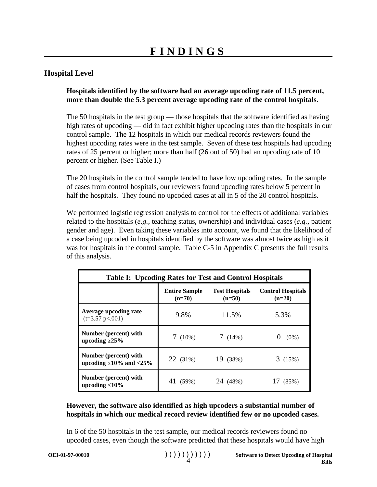#### **Hospital Level**

#### **Hospitals identified by the software had an average upcoding rate of 11.5 percent, more than double the 5.3 percent average upcoding rate of the control hospitals.**

The 50 hospitals in the test group — those hospitals that the software identified as having high rates of upcoding — did in fact exhibit higher upcoding rates than the hospitals in our control sample. The 12 hospitals in which our medical records reviewers found the highest upcoding rates were in the test sample. Seven of these test hospitals had upcoding rates of 25 percent or higher; more than half (26 out of 50) had an upcoding rate of 10 percent or higher. (See Table I.)

The 20 hospitals in the control sample tended to have low upcoding rates. In the sample of cases from control hospitals, our reviewers found upcoding rates below 5 percent in half the hospitals. They found no upcoded cases at all in 5 of the 20 control hospitals.

We performed logistic regression analysis to control for the effects of additional variables related to the hospitals (*e.g.*, teaching status, ownership) and individual cases (*e.g.*, patient gender and age). Even taking these variables into account, we found that the likelihood of a case being upcoded in hospitals identified by the software was almost twice as high as it was for hospitals in the control sample. Table C-5 in Appendix C presents the full results of this analysis.

| <b>Table I: Upcoding Rates for Test and Control Hospitals</b> |                                  |                                   |                                      |  |  |  |  |
|---------------------------------------------------------------|----------------------------------|-----------------------------------|--------------------------------------|--|--|--|--|
|                                                               | <b>Entire Sample</b><br>$(n=70)$ | <b>Test Hospitals</b><br>$(n=50)$ | <b>Control Hospitals</b><br>$(n=20)$ |  |  |  |  |
| Average upcoding rate<br>$(t=3.57 \text{ p} < 0.001)$         | 9.8%                             | 11.5%                             | 5.3%                                 |  |  |  |  |
| Number (percent) with<br>upcoding $\geq$ 25%                  | $7(10\%)$                        | 7(14%)                            | $(0\%)$                              |  |  |  |  |
| Number (percent) with<br>upcoding $\geq 10\%$ and $\leq 25\%$ | $22(31\%)$                       | 19 (38%)                          | 3(15%)                               |  |  |  |  |
| Number (percent) with<br>upcoding $<$ 10%                     | 41 (59%)                         | 24 (48%)                          | (85%)                                |  |  |  |  |

#### **However, the software also identified as high upcoders a substantial number of hospitals in which our medical record review identified few or no upcoded cases.**

In 6 of the 50 hospitals in the test sample, our medical records reviewers found no upcoded cases, even though the software predicted that these hospitals would have high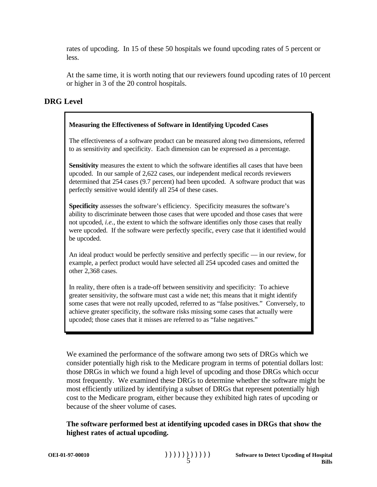rates of upcoding. In 15 of these 50 hospitals we found upcoding rates of 5 percent or less.

At the same time, it is worth noting that our reviewers found upcoding rates of 10 percent or higher in 3 of the 20 control hospitals.

#### **DRG Level**

#### **Measuring the Effectiveness of Software in Identifying Upcoded Cases**

The effectiveness of a software product can be measured along two dimensions, referred to as sensitivity and specificity. Each dimension can be expressed as a percentage.

**Sensitivity** measures the extent to which the software identifies all cases that have been upcoded. In our sample of 2,622 cases, our independent medical records reviewers determined that 254 cases (9.7 percent) had been upcoded. A software product that was perfectly sensitive would identify all 254 of these cases.

**Specificity** assesses the software's efficiency. Specificity measures the software's ability to discriminate between those cases that were upcoded and those cases that were not upcoded, *i.e.*, the extent to which the software identifies only those cases that really were upcoded. If the software were perfectly specific, every case that it identified would be upcoded.

An ideal product would be perfectly sensitive and perfectly specific — in our review, for example, a perfect product would have selected all 254 upcoded cases and omitted the other 2,368 cases.

In reality, there often is a trade-off between sensitivity and specificity: To achieve greater sensitivity, the software must cast a wide net; this means that it might identify some cases that were not really upcoded, referred to as "false positives." Conversely, to achieve greater specificity, the software risks missing some cases that actually were upcoded; those cases that it misses are referred to as "false negatives."

We examined the performance of the software among two sets of DRGs which we consider potentially high risk to the Medicare program in terms of potential dollars lost: those DRGs in which we found a high level of upcoding and those DRGs which occur most frequently. We examined these DRGs to determine whether the software might be most efficiently utilized by identifying a subset of DRGs that represent potentially high cost to the Medicare program, either because they exhibited high rates of upcoding or because of the sheer volume of cases.

**The software performed best at identifying upcoded cases in DRGs that show the highest rates of actual upcoding.**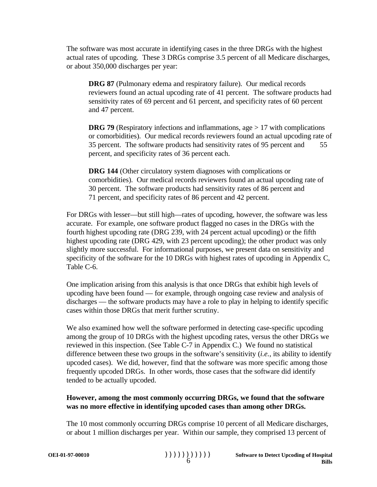The software was most accurate in identifying cases in the three DRGs with the highest actual rates of upcoding. These 3 DRGs comprise 3.5 percent of all Medicare discharges, or about 350,000 discharges per year:

**DRG 87** (Pulmonary edema and respiratory failure). Our medical records reviewers found an actual upcoding rate of 41 percent. The software products had sensitivity rates of 69 percent and 61 percent, and specificity rates of 60 percent and 47 percent.

**DRG 79** (Respiratory infections and inflammations, age > 17 with complications or comorbidities). Our medical records reviewers found an actual upcoding rate of 35 percent. The software products had sensitivity rates of 95 percent and 55 percent, and specificity rates of 36 percent each.

**DRG 144** (Other circulatory system diagnoses with complications or comorbidities). Our medical records reviewers found an actual upcoding rate of 30 percent. The software products had sensitivity rates of 86 percent and 71 percent, and specificity rates of 86 percent and 42 percent.

For DRGs with lesser—but still high—rates of upcoding, however, the software was less accurate. For example, one software product flagged no cases in the DRGs with the fourth highest upcoding rate (DRG 239, with 24 percent actual upcoding) or the fifth highest upcoding rate (DRG 429, with 23 percent upcoding); the other product was only slightly more successful. For informational purposes, we present data on sensitivity and specificity of the software for the 10 DRGs with highest rates of upcoding in Appendix C, Table C-6.

One implication arising from this analysis is that once DRGs that exhibit high levels of upcoding have been found — for example, through ongoing case review and analysis of discharges — the software products may have a role to play in helping to identify specific cases within those DRGs that merit further scrutiny.

We also examined how well the software performed in detecting case-specific upcoding among the group of 10 DRGs with the highest upcoding rates, versus the other DRGs we reviewed in this inspection. (See Table C-7 in Appendix C.) We found no statistical difference between these two groups in the software's sensitivity (*i.e.*, its ability to identify upcoded cases). We did, however, find that the software was more specific among those frequently upcoded DRGs. In other words, those cases that the software did identify tended to be actually upcoded.

#### **However, among the most commonly occurring DRGs, we found that the software was no more effective in identifying upcoded cases than among other DRGs.**

The 10 most commonly occurring DRGs comprise 10 percent of all Medicare discharges, or about 1 million discharges per year. Within our sample, they comprised 13 percent of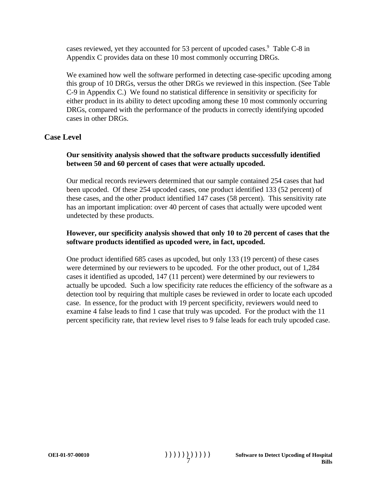cases reviewed, yet they accounted for 53 percent of upcoded cases.<sup>9</sup> Table C-8 in Appendix C provides data on these 10 most commonly occurring DRGs.

We examined how well the software performed in detecting case-specific upcoding among this group of 10 DRGs, versus the other DRGs we reviewed in this inspection. (See Table C-9 in Appendix C.) We found no statistical difference in sensitivity or specificity for either product in its ability to detect upcoding among these 10 most commonly occurring DRGs, compared with the performance of the products in correctly identifying upcoded cases in other DRGs.

#### **Case Level**

#### **Our sensitivity analysis showed that the software products successfully identified between 50 and 60 percent of cases that were actually upcoded.**

Our medical records reviewers determined that our sample contained 254 cases that had been upcoded. Of these 254 upcoded cases, one product identified 133 (52 percent) of these cases, and the other product identified 147 cases (58 percent). This sensitivity rate has an important implication: over 40 percent of cases that actually were upcoded went undetected by these products.

#### **However, our specificity analysis showed that only 10 to 20 percent of cases that the software products identified as upcoded were, in fact, upcoded.**

One product identified 685 cases as upcoded, but only 133 (19 percent) of these cases were determined by our reviewers to be upcoded. For the other product, out of 1,284 cases it identified as upcoded, 147 (11 percent) were determined by our reviewers to actually be upcoded. Such a low specificity rate reduces the efficiency of the software as a detection tool by requiring that multiple cases be reviewed in order to locate each upcoded case. In essence, for the product with 19 percent specificity, reviewers would need to examine 4 false leads to find 1 case that truly was upcoded. For the product with the 11 percent specificity rate, that review level rises to 9 false leads for each truly upcoded case.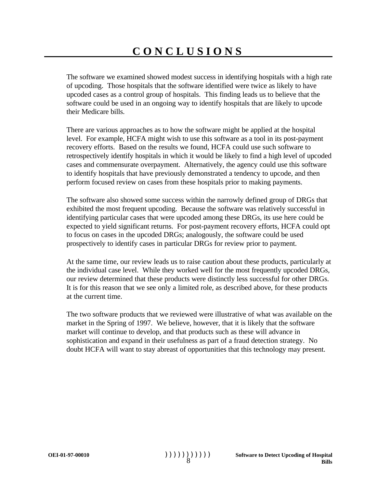The software we examined showed modest success in identifying hospitals with a high rate of upcoding. Those hospitals that the software identified were twice as likely to have upcoded cases as a control group of hospitals. This finding leads us to believe that the software could be used in an ongoing way to identify hospitals that are likely to upcode their Medicare bills.

There are various approaches as to how the software might be applied at the hospital level. For example, HCFA might wish to use this software as a tool in its post-payment recovery efforts. Based on the results we found, HCFA could use such software to retrospectively identify hospitals in which it would be likely to find a high level of upcoded cases and commensurate overpayment. Alternatively, the agency could use this software to identify hospitals that have previously demonstrated a tendency to upcode, and then perform focused review on cases from these hospitals prior to making payments.

The software also showed some success within the narrowly defined group of DRGs that exhibited the most frequent upcoding. Because the software was relatively successful in identifying particular cases that were upcoded among these DRGs, its use here could be expected to yield significant returns. For post-payment recovery efforts, HCFA could opt to focus on cases in the upcoded DRGs; analogously, the software could be used prospectively to identify cases in particular DRGs for review prior to payment.

At the same time, our review leads us to raise caution about these products, particularly at the individual case level. While they worked well for the most frequently upcoded DRGs, our review determined that these products were distinctly less successful for other DRGs. It is for this reason that we see only a limited role, as described above, for these products at the current time.

The two software products that we reviewed were illustrative of what was available on the market in the Spring of 1997. We believe, however, that it is likely that the software market will continue to develop, and that products such as these will advance in sophistication and expand in their usefulness as part of a fraud detection strategy. No doubt HCFA will want to stay abreast of opportunities that this technology may present.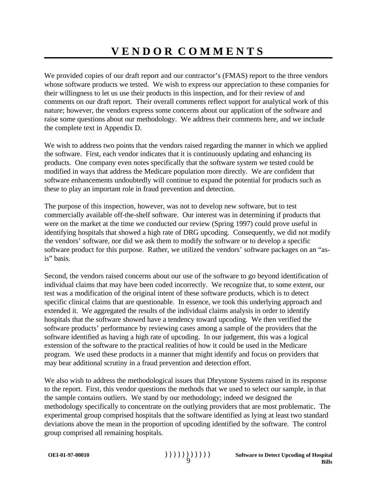We provided copies of our draft report and our contractor's (FMAS) report to the three vendors whose software products we tested. We wish to express our appreciation to these companies for their willingness to let us use their products in this inspection, and for their review of and comments on our draft report. Their overall comments reflect support for analytical work of this nature; however, the vendors express some concerns about our application of the software and raise some questions about our methodology. We address their comments here, and we include the complete text in Appendix D.

We wish to address two points that the vendors raised regarding the manner in which we applied the software. First, each vendor indicates that it is continuously updating and enhancing its products. One company even notes specifically that the software system we tested could be modified in ways that address the Medicare population more directly. We are confident that software enhancements undoubtedly will continue to expand the potential for products such as these to play an important role in fraud prevention and detection.

The purpose of this inspection, however, was not to develop new software, but to test commercially available off-the-shelf software. Our interest was in determining if products that were on the market at the time we conducted our review (Spring 1997) could prove useful in identifying hospitals that showed a high rate of DRG upcoding. Consequently, we did not modify the vendors' software, nor did we ask them to modify the software or to develop a specific software product for this purpose. Rather, we utilized the vendors' software packages on an "asis" basis.

Second, the vendors raised concerns about our use of the software to go beyond identification of individual claims that may have been coded incorrectly. We recognize that, to some extent, our test was a modification of the original intent of these software products, which is to detect specific clinical claims that are questionable. In essence, we took this underlying approach and extended it. We aggregated the results of the individual claims analysis in order to identify hospitals that the software showed have a tendency toward upcoding. We then verified the software products' performance by reviewing cases among a sample of the providers that the software identified as having a high rate of upcoding. In our judgement, this was a logical extension of the software to the practical realities of how it could be used in the Medicare program. We used these products in a manner that might identify and focus on providers that may bear additional scrutiny in a fraud prevention and detection effort.

We also wish to address the methodological issues that Dhrystone Systems raised in its response to the report. First, this vendor questions the methods that we used to select our sample, in that the sample contains outliers. We stand by our methodology; indeed we designed the methodology specifically to concentrate on the outlying providers that are most problematic. The experimental group comprised hospitals that the software identified as lying at least two standard deviations above the mean in the proportion of upcoding identified by the software. The control group comprised all remaining hospitals.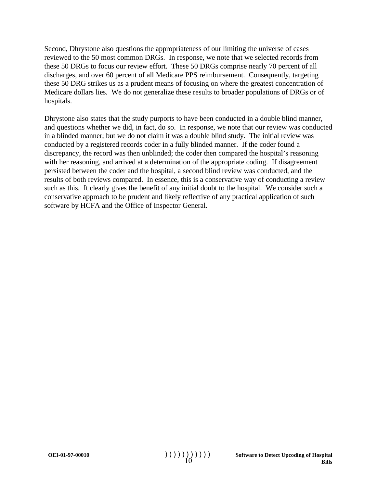Second, Dhrystone also questions the appropriateness of our limiting the universe of cases reviewed to the 50 most common DRGs. In response, we note that we selected records from these 50 DRGs to focus our review effort. These 50 DRGs comprise nearly 70 percent of all discharges, and over 60 percent of all Medicare PPS reimbursement. Consequently, targeting these 50 DRG strikes us as a prudent means of focusing on where the greatest concentration of Medicare dollars lies. We do not generalize these results to broader populations of DRGs or of hospitals.

Dhrystone also states that the study purports to have been conducted in a double blind manner, and questions whether we did, in fact, do so. In response, we note that our review was conducted in a blinded manner; but we do not claim it was a double blind study. The initial review was conducted by a registered records coder in a fully blinded manner. If the coder found a discrepancy, the record was then unblinded; the coder then compared the hospital's reasoning with her reasoning, and arrived at a determination of the appropriate coding. If disagreement persisted between the coder and the hospital, a second blind review was conducted, and the results of both reviews compared. In essence, this is a conservative way of conducting a review such as this. It clearly gives the benefit of any initial doubt to the hospital. We consider such a conservative approach to be prudent and likely reflective of any practical application of such software by HCFA and the Office of Inspector General.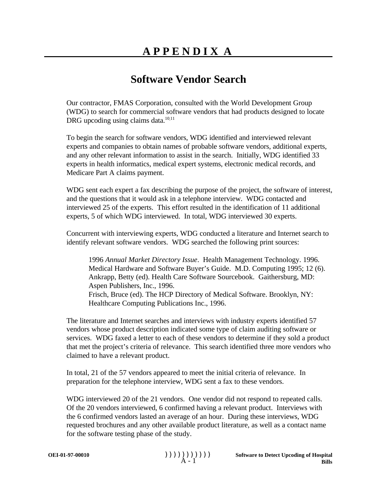### **Software Vendor Search**

Our contractor, FMAS Corporation, consulted with the World Development Group (WDG) to search for commercial software vendors that had products designed to locate DRG upcoding using claims data.<sup>10,11</sup>

To begin the search for software vendors, WDG identified and interviewed relevant experts and companies to obtain names of probable software vendors, additional experts, and any other relevant information to assist in the search. Initially, WDG identified 33 experts in health informatics, medical expert systems, electronic medical records, and Medicare Part A claims payment.

WDG sent each expert a fax describing the purpose of the project, the software of interest, and the questions that it would ask in a telephone interview. WDG contacted and interviewed 25 of the experts. This effort resulted in the identification of 11 additional experts, 5 of which WDG interviewed. In total, WDG interviewed 30 experts.

Concurrent with interviewing experts, WDG conducted a literature and Internet search to identify relevant software vendors. WDG searched the following print sources:

1996 *Annual Market Directory Issue*. Health Management Technology. 1996. Medical Hardware and Software Buyer's Guide. M.D. Computing 1995; 12 (6). Ankrapp, Betty (ed). Health Care Software Sourcebook. Gaithersburg, MD: Aspen Publishers, Inc., 1996. Frisch, Bruce (ed). The HCP Directory of Medical Software. Brooklyn, NY: Healthcare Computing Publications Inc., 1996.

The literature and Internet searches and interviews with industry experts identified 57 vendors whose product description indicated some type of claim auditing software or services. WDG faxed a letter to each of these vendors to determine if they sold a product that met the project's criteria of relevance. This search identified three more vendors who claimed to have a relevant product.

In total, 21 of the 57 vendors appeared to meet the initial criteria of relevance. In preparation for the telephone interview, WDG sent a fax to these vendors.

WDG interviewed 20 of the 21 vendors. One vendor did not respond to repeated calls. Of the 20 vendors interviewed, 6 confirmed having a relevant product. Interviews with the 6 confirmed vendors lasted an average of an hour. During these interviews, WDG requested brochures and any other available product literature, as well as a contact name for the software testing phase of the study.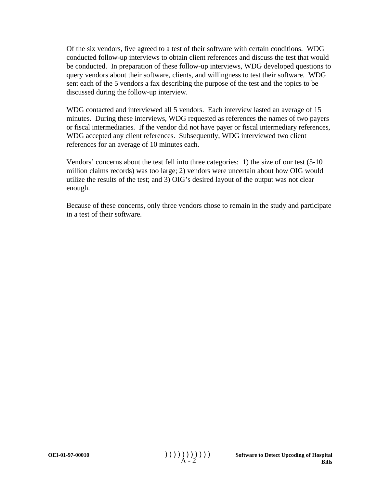Of the six vendors, five agreed to a test of their software with certain conditions. WDG conducted follow-up interviews to obtain client references and discuss the test that would be conducted. In preparation of these follow-up interviews, WDG developed questions to query vendors about their software, clients, and willingness to test their software. WDG sent each of the 5 vendors a fax describing the purpose of the test and the topics to be discussed during the follow-up interview.

WDG contacted and interviewed all 5 vendors. Each interview lasted an average of 15 minutes. During these interviews, WDG requested as references the names of two payers or fiscal intermediaries. If the vendor did not have payer or fiscal intermediary references, WDG accepted any client references. Subsequently, WDG interviewed two client references for an average of 10 minutes each.

Vendors' concerns about the test fell into three categories: 1) the size of our test (5-10 million claims records) was too large; 2) vendors were uncertain about how OIG would utilize the results of the test; and 3) OIG's desired layout of the output was not clear enough.

Because of these concerns, only three vendors chose to remain in the study and participate in a test of their software.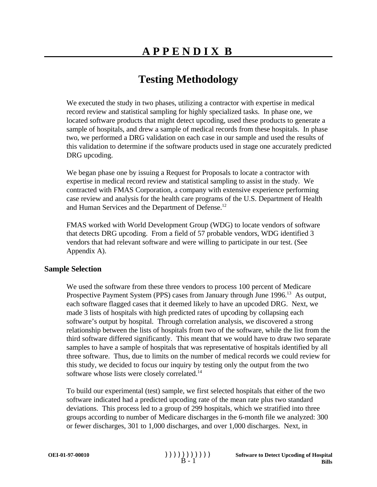# **Testing Methodology**

We executed the study in two phases, utilizing a contractor with expertise in medical record review and statistical sampling for highly specialized tasks. In phase one, we located software products that might detect upcoding, used these products to generate a sample of hospitals, and drew a sample of medical records from these hospitals. In phase two, we performed a DRG validation on each case in our sample and used the results of this validation to determine if the software products used in stage one accurately predicted DRG upcoding.

We began phase one by issuing a Request for Proposals to locate a contractor with expertise in medical record review and statistical sampling to assist in the study. We contracted with FMAS Corporation, a company with extensive experience performing case review and analysis for the health care programs of the U.S. Department of Health and Human Services and the Department of Defense.<sup>12</sup>

FMAS worked with World Development Group (WDG) to locate vendors of software that detects DRG upcoding. From a field of 57 probable vendors, WDG identified 3 vendors that had relevant software and were willing to participate in our test. (See Appendix A).

#### **Sample Selection**

We used the software from these three vendors to process 100 percent of Medicare Prospective Payment System (PPS) cases from January through June 1996.<sup>13</sup> As output, each software flagged cases that it deemed likely to have an upcoded DRG. Next, we made 3 lists of hospitals with high predicted rates of upcoding by collapsing each software's output by hospital. Through correlation analysis, we discovered a strong relationship between the lists of hospitals from two of the software, while the list from the third software differed significantly. This meant that we would have to draw two separate samples to have a sample of hospitals that was representative of hospitals identified by all three software. Thus, due to limits on the number of medical records we could review for this study, we decided to focus our inquiry by testing only the output from the two software whose lists were closely correlated.<sup>14</sup>

To build our experimental (test) sample, we first selected hospitals that either of the two software indicated had a predicted upcoding rate of the mean rate plus two standard deviations. This process led to a group of 299 hospitals, which we stratified into three groups according to number of Medicare discharges in the 6-month file we analyzed: 300 or fewer discharges, 301 to 1,000 discharges, and over 1,000 discharges. Next, in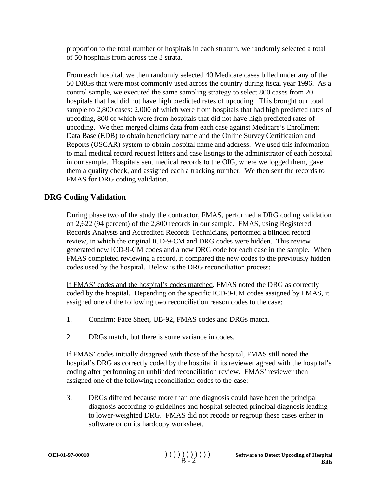proportion to the total number of hospitals in each stratum, we randomly selected a total of 50 hospitals from across the 3 strata.

From each hospital, we then randomly selected 40 Medicare cases billed under any of the 50 DRGs that were most commonly used across the country during fiscal year 1996. As a control sample, we executed the same sampling strategy to select 800 cases from 20 hospitals that had did not have high predicted rates of upcoding. This brought our total sample to 2,800 cases: 2,000 of which were from hospitals that had high predicted rates of upcoding, 800 of which were from hospitals that did not have high predicted rates of upcoding. We then merged claims data from each case against Medicare's Enrollment Data Base (EDB) to obtain beneficiary name and the Online Survey Certification and Reports (OSCAR) system to obtain hospital name and address. We used this information to mail medical record request letters and case listings to the administrator of each hospital in our sample. Hospitals sent medical records to the OIG, where we logged them, gave them a quality check, and assigned each a tracking number. We then sent the records to FMAS for DRG coding validation.

#### **DRG Coding Validation**

During phase two of the study the contractor, FMAS, performed a DRG coding validation on 2,622 (94 percent) of the 2,800 records in our sample. FMAS, using Registered Records Analysts and Accredited Records Technicians, performed a blinded record review, in which the original ICD-9-CM and DRG codes were hidden. This review generated new ICD-9-CM codes and a new DRG code for each case in the sample. When FMAS completed reviewing a record, it compared the new codes to the previously hidden codes used by the hospital. Below is the DRG reconciliation process:

If FMAS' codes and the hospital's codes matched, FMAS noted the DRG as correctly coded by the hospital. Depending on the specific ICD-9-CM codes assigned by FMAS, it assigned one of the following two reconciliation reason codes to the case:

- 1. Confirm: Face Sheet, UB-92, FMAS codes and DRGs match.
- 2. DRGs match, but there is some variance in codes.

If FMAS' codes initially disagreed with those of the hospital, FMAS still noted the hospital's DRG as correctly coded by the hospital if its reviewer agreed with the hospital's coding after performing an unblinded reconciliation review. FMAS' reviewer then assigned one of the following reconciliation codes to the case:

3. DRGs differed because more than one diagnosis could have been the principal diagnosis according to guidelines and hospital selected principal diagnosis leading to lower-weighted DRG. FMAS did not recode or regroup these cases either in software or on its hardcopy worksheet.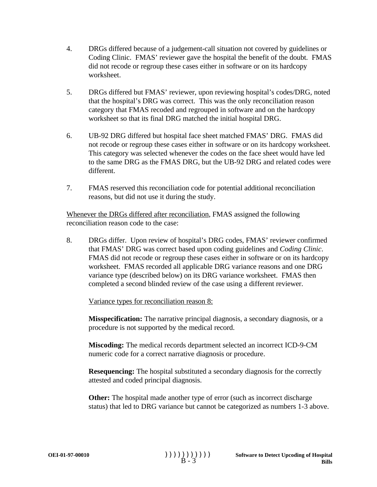- 4. DRGs differed because of a judgement-call situation not covered by guidelines or Coding Clinic. FMAS' reviewer gave the hospital the benefit of the doubt. FMAS did not recode or regroup these cases either in software or on its hardcopy worksheet.
- 5. DRGs differed but FMAS' reviewer, upon reviewing hospital's codes/DRG, noted that the hospital's DRG was correct. This was the only reconciliation reason category that FMAS recoded and regrouped in software and on the hardcopy worksheet so that its final DRG matched the initial hospital DRG.
- 6. UB-92 DRG differed but hospital face sheet matched FMAS' DRG. FMAS did not recode or regroup these cases either in software or on its hardcopy worksheet. This category was selected whenever the codes on the face sheet would have led to the same DRG as the FMAS DRG, but the UB-92 DRG and related codes were different.
- 7. FMAS reserved this reconciliation code for potential additional reconciliation reasons, but did not use it during the study.

Whenever the DRGs differed after reconciliation, FMAS assigned the following reconciliation reason code to the case:

8. DRGs differ. Upon review of hospital's DRG codes, FMAS' reviewer confirmed that FMAS' DRG was correct based upon coding guidelines and *Coding Clinic*. FMAS did not recode or regroup these cases either in software or on its hardcopy worksheet. FMAS recorded all applicable DRG variance reasons and one DRG variance type (described below) on its DRG variance worksheet. FMAS then completed a second blinded review of the case using a different reviewer.

Variance types for reconciliation reason 8:

**Misspecification:** The narrative principal diagnosis, a secondary diagnosis, or a procedure is not supported by the medical record.

**Miscoding:** The medical records department selected an incorrect ICD-9-CM numeric code for a correct narrative diagnosis or procedure.

**Resequencing:** The hospital substituted a secondary diagnosis for the correctly attested and coded principal diagnosis.

**Other:** The hospital made another type of error (such as incorrect discharge status) that led to DRG variance but cannot be categorized as numbers 1-3 above.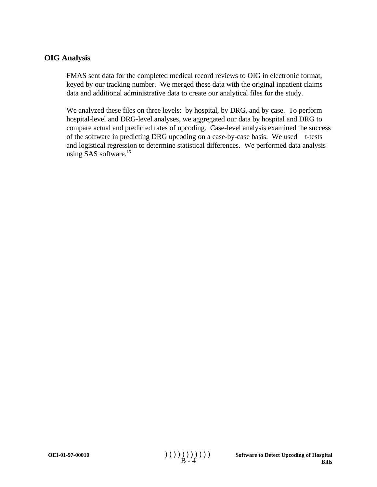#### **OIG Analysis**

FMAS sent data for the completed medical record reviews to OIG in electronic format, keyed by our tracking number. We merged these data with the original inpatient claims data and additional administrative data to create our analytical files for the study.

We analyzed these files on three levels: by hospital, by DRG, and by case. To perform hospital-level and DRG-level analyses, we aggregated our data by hospital and DRG to compare actual and predicted rates of upcoding. Case-level analysis examined the success of the software in predicting DRG upcoding on a case-by-case basis. We used t-tests and logistical regression to determine statistical differences. We performed data analysis using SAS software.<sup>15</sup>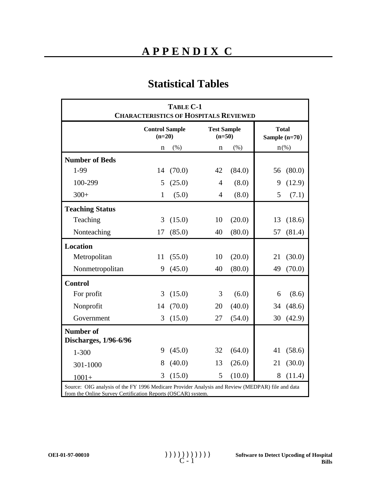## **APPENDIX C**

### **Statistical Tables**

| TABLE C-1<br><b>CHARACTERISTICS OF HOSPITALS REVIEWED</b> |                                   |        |                                |         |                               |                    |
|-----------------------------------------------------------|-----------------------------------|--------|--------------------------------|---------|-------------------------------|--------------------|
|                                                           | <b>Control Sample</b><br>$(n=20)$ |        | <b>Test Sample</b><br>$(n=50)$ |         | <b>Total</b><br>Sample (n=70) |                    |
|                                                           | $\mathbf n$                       | (%)    | $\mathbf n$                    | $(\% )$ |                               | $n$ <sup>(%)</sup> |
| <b>Number of Beds</b>                                     |                                   |        |                                |         |                               |                    |
| 1-99                                                      | 14                                | (70.0) | 42                             | (84.0)  | 56                            | (80.0)             |
| 100-299                                                   | 5                                 | (25.0) | $\overline{4}$                 | (8.0)   | 9                             | (12.9)             |
| $300+$                                                    | $\mathbf{1}$                      | (5.0)  | 4                              | (8.0)   | 5                             | (7.1)              |
| <b>Teaching Status</b>                                    |                                   |        |                                |         |                               |                    |
| Teaching                                                  | 3                                 | (15.0) | 10                             | (20.0)  | 13                            | (18.6)             |
| Nonteaching                                               | 17                                | (85.0) | 40                             | (80.0)  | 57                            | (81.4)             |
| <b>Location</b>                                           |                                   |        |                                |         |                               |                    |
| Metropolitan                                              | 11                                | (55.0) | 10                             | (20.0)  | 21                            | (30.0)             |
| Nonmetropolitan                                           | 9                                 | (45.0) | 40                             | (80.0)  | 49                            | (70.0)             |
| <b>Control</b>                                            |                                   |        |                                |         |                               |                    |
| For profit                                                | 3                                 | (15.0) | 3                              | (6.0)   | 6                             | (8.6)              |
| Nonprofit                                                 | 14                                | (70.0) | 20                             | (40.0)  | 34                            | (48.6)             |
| Government                                                | 3                                 | (15.0) | 27                             | (54.0)  | 30                            | (42.9)             |
| <b>Number of</b><br>Discharges, 1/96-6/96                 |                                   |        |                                |         |                               |                    |
| $1 - 300$                                                 | 9                                 | (45.0) | 32                             | (64.0)  | 41                            | (58.6)             |
| 301-1000                                                  | 8                                 | (40.0) | 13                             | (26.0)  | 21                            | (30.0)             |
| $1001+$                                                   | 3                                 | (15.0) | 5                              | (10.0)  | 8                             | (11.4)             |

Source: OIG analysis of the FY 1996 Medicare Provider Analysis and Review (MEDPAR) file and data from the Online Survey Certification Reports (OSCAR) system.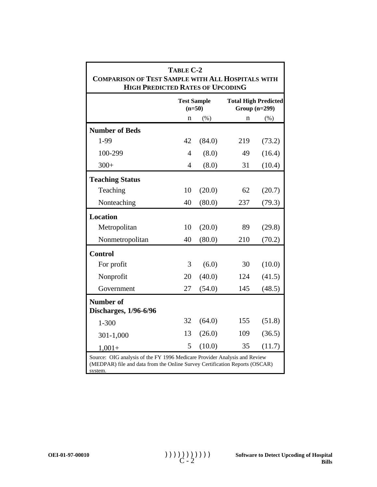| TABLE C-2<br><b>COMPARISON OF TEST SAMPLE WITH ALL HOSPITALS WITH</b><br><b>HIGH PREDICTED RATES OF UPCODING</b>                                                    |                                                                                  |        |     |        |  |  |  |  |
|---------------------------------------------------------------------------------------------------------------------------------------------------------------------|----------------------------------------------------------------------------------|--------|-----|--------|--|--|--|--|
|                                                                                                                                                                     | <b>Test Sample</b><br><b>Total High Predicted</b><br>Group $(n=299)$<br>$(n=50)$ |        |     |        |  |  |  |  |
|                                                                                                                                                                     | n                                                                                | $(\%)$ | n   | $(\%)$ |  |  |  |  |
| <b>Number of Beds</b>                                                                                                                                               |                                                                                  |        |     |        |  |  |  |  |
| 1-99                                                                                                                                                                | 42                                                                               | (84.0) | 219 | (73.2) |  |  |  |  |
| 100-299                                                                                                                                                             | $\overline{4}$                                                                   | (8.0)  | 49  | (16.4) |  |  |  |  |
| $300+$                                                                                                                                                              | 4                                                                                | (8.0)  | 31  | (10.4) |  |  |  |  |
| <b>Teaching Status</b>                                                                                                                                              |                                                                                  |        |     |        |  |  |  |  |
| Teaching                                                                                                                                                            | 10                                                                               | (20.0) | 62  | (20.7) |  |  |  |  |
| Nonteaching                                                                                                                                                         | 40                                                                               | (80.0) | 237 | (79.3) |  |  |  |  |
| <b>Location</b>                                                                                                                                                     |                                                                                  |        |     |        |  |  |  |  |
| Metropolitan                                                                                                                                                        | 10                                                                               | (20.0) | 89  | (29.8) |  |  |  |  |
| Nonmetropolitan                                                                                                                                                     | 40                                                                               | (80.0) | 210 | (70.2) |  |  |  |  |
| <b>Control</b>                                                                                                                                                      |                                                                                  |        |     |        |  |  |  |  |
| For profit                                                                                                                                                          | 3                                                                                | (6.0)  | 30  | (10.0) |  |  |  |  |
| Nonprofit                                                                                                                                                           | 20                                                                               | (40.0) | 124 | (41.5) |  |  |  |  |
| Government                                                                                                                                                          | 27                                                                               | (54.0) | 145 | (48.5) |  |  |  |  |
| <b>Number of</b><br><b>Discharges, 1/96-6/96</b>                                                                                                                    |                                                                                  |        |     |        |  |  |  |  |
| $1 - 300$                                                                                                                                                           | 32                                                                               | (64.0) | 155 | (51.8) |  |  |  |  |
| 301-1,000                                                                                                                                                           | 13                                                                               | (26.0) | 109 | (36.5) |  |  |  |  |
| $1,001+$                                                                                                                                                            | 5                                                                                | (10.0) | 35  | (11.7) |  |  |  |  |
| Source: OIG analysis of the FY 1996 Medicare Provider Analysis and Review<br>(MEDPAR) file and data from the Online Survey Certification Reports (OSCAR)<br>system. |                                                                                  |        |     |        |  |  |  |  |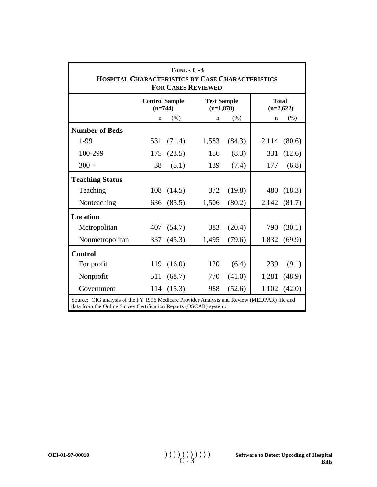| TABLE C-3<br>HOSPITAL CHARACTERISTICS BY CASE CHARACTERISTICS<br><b>FOR CASES REVIEWED</b>                                                                       |                                    |        |                                   |        |                             |  |  |
|------------------------------------------------------------------------------------------------------------------------------------------------------------------|------------------------------------|--------|-----------------------------------|--------|-----------------------------|--|--|
|                                                                                                                                                                  | <b>Control Sample</b><br>$(n=744)$ |        | <b>Test Sample</b><br>$(n=1,878)$ |        | <b>Total</b><br>$(n=2,622)$ |  |  |
|                                                                                                                                                                  | n                                  | (% )   | n                                 | (% )   | (% )<br>n                   |  |  |
| <b>Number of Beds</b>                                                                                                                                            |                                    |        |                                   |        |                             |  |  |
| 1-99<br>(71.4)<br>1,583<br>(84.3)<br>531<br>2,114<br>(80.6)                                                                                                      |                                    |        |                                   |        |                             |  |  |
| 100-299                                                                                                                                                          | 175                                | (23.5) | 156                               | (8.3)  | 331<br>(12.6)               |  |  |
| $300 +$                                                                                                                                                          | 38                                 | (5.1)  | 139                               | (7.4)  | 177<br>(6.8)                |  |  |
| <b>Teaching Status</b>                                                                                                                                           |                                    |        |                                   |        |                             |  |  |
| Teaching                                                                                                                                                         | 108                                | (14.5) | 372                               | (19.8) | 480<br>(18.3)               |  |  |
| Nonteaching                                                                                                                                                      | 636                                | (85.5) | 1,506                             | (80.2) | (81.7)<br>2,142             |  |  |
| <b>Location</b>                                                                                                                                                  |                                    |        |                                   |        |                             |  |  |
| Metropolitan                                                                                                                                                     | 407                                | (54.7) | 383                               | (20.4) | 790<br>(30.1)               |  |  |
| Nonmetropolitan                                                                                                                                                  | 337                                | (45.3) | 1,495                             | (79.6) | 1,832<br>(69.9)             |  |  |
| <b>Control</b>                                                                                                                                                   |                                    |        |                                   |        |                             |  |  |
| For profit                                                                                                                                                       | 119                                | (16.0) | 120                               | (6.4)  | 239<br>(9.1)                |  |  |
| Nonprofit                                                                                                                                                        | 511                                | (68.7) | 770                               | (41.0) | 1,281<br>(48.9)             |  |  |
| Government                                                                                                                                                       | 114                                | (15.3) | 988                               | (52.6) | 1,102<br>(42.0)             |  |  |
| Source: OIG analysis of the FY 1996 Medicare Provider Analysis and Review (MEDPAR) file and<br>data from the Online Survey Certification Reports (OSCAR) system. |                                    |        |                                   |        |                             |  |  |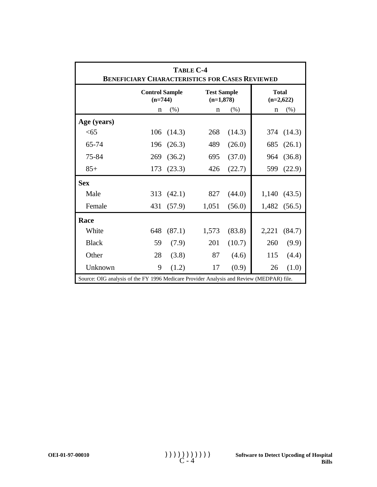| <b>TABLE C-4</b><br><b>BENEFICIARY CHARACTERISTICS FOR CASES REVIEWED</b>                |                                    |        |                                   |        |                             |        |
|------------------------------------------------------------------------------------------|------------------------------------|--------|-----------------------------------|--------|-----------------------------|--------|
|                                                                                          | <b>Control Sample</b><br>$(n=744)$ |        | <b>Test Sample</b><br>$(n=1,878)$ |        | <b>Total</b><br>$(n=2,622)$ |        |
|                                                                                          | $\mathbf n$                        | (% )   | $\mathbf n$                       | (%)    | n                           | (% )   |
| Age (years)                                                                              |                                    |        |                                   |        |                             |        |
| <65                                                                                      | 106                                | (14.3) | 268                               | (14.3) | 374                         | (14.3) |
| 65-74                                                                                    | 196                                | (26.3) | 489                               | (26.0) | 685                         | (26.1) |
| 75-84                                                                                    | 269                                | (36.2) | 695                               | (37.0) | 964                         | (36.8) |
| $85+$                                                                                    | 173                                | (23.3) | 426                               | (22.7) | 599                         | (22.9) |
| <b>Sex</b>                                                                               |                                    |        |                                   |        |                             |        |
| Male                                                                                     | 313                                | (42.1) | 827                               | (44.0) | 1,140                       | (43.5) |
| Female                                                                                   | 431                                | (57.9) | 1,051                             | (56.0) | 1,482                       | (56.5) |
| Race                                                                                     |                                    |        |                                   |        |                             |        |
| White                                                                                    | 648                                | (87.1) | 1,573                             | (83.8) | 2,221                       | (84.7) |
| <b>Black</b>                                                                             | 59                                 | (7.9)  | 201                               | (10.7) | 260                         | (9.9)  |
| Other                                                                                    | 28                                 | (3.8)  | 87                                | (4.6)  | 115                         | (4.4)  |
| Unknown                                                                                  | 9                                  | (1.2)  | 17                                | (0.9)  | 26                          | (1.0)  |
| Source: OIG analysis of the FY 1996 Medicare Provider Analysis and Review (MEDPAR) file. |                                    |        |                                   |        |                             |        |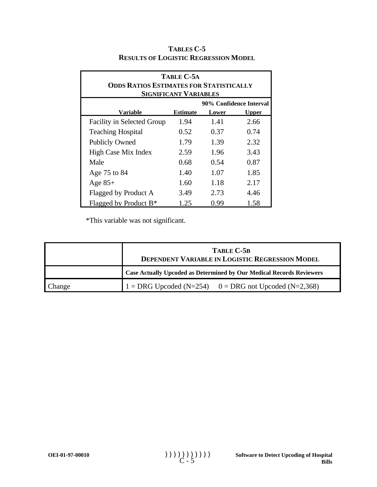| TABLE C-5A<br><b>ODDS RATIOS ESTIMATES FOR STATISTICALLY</b><br><b>SIGNIFICANT VARIABLES</b> |                 |       |              |  |  |  |
|----------------------------------------------------------------------------------------------|-----------------|-------|--------------|--|--|--|
| 90% Confidence Interval                                                                      |                 |       |              |  |  |  |
| Variable                                                                                     | <b>Estimate</b> | Lower | <b>Upper</b> |  |  |  |
| <b>Facility in Selected Group</b>                                                            | 1.94            | 1.41  | 2.66         |  |  |  |
| <b>Teaching Hospital</b>                                                                     | 0.52            | 0.37  | 0.74         |  |  |  |
| <b>Publicly Owned</b>                                                                        | 1.79            | 1.39  | 2.32         |  |  |  |
| High Case Mix Index                                                                          | 2.59            | 1.96  | 3.43         |  |  |  |
| Male                                                                                         | 0.68            | 0.54  | 0.87         |  |  |  |
| Age 75 to 84                                                                                 | 1.40            | 1.07  | 1.85         |  |  |  |
| Age $85+$                                                                                    | 1.60            | 1.18  | 2.17         |  |  |  |
| Flagged by Product A                                                                         | 3.49            | 2.73  | 4.46         |  |  |  |
| Flagged by Product B <sup>*</sup>                                                            | 1.25            | 0.99  | 1.58         |  |  |  |

#### **TABLES C-5 RESULTS OF LOGISTIC REGRESSION MODEL**

\*This variable was not significant.

|        | TABLE C-5B<br>DEPENDENT VARIABLE IN LOGISTIC REGRESSION MODEL        |
|--------|----------------------------------------------------------------------|
|        | Case Actually Upcoded as Determined by Our Medical Records Reviewers |
| Change | $1 = DRG$ Upcoded (N=254) $0 = DRG$ not Upcoded (N=2,368)            |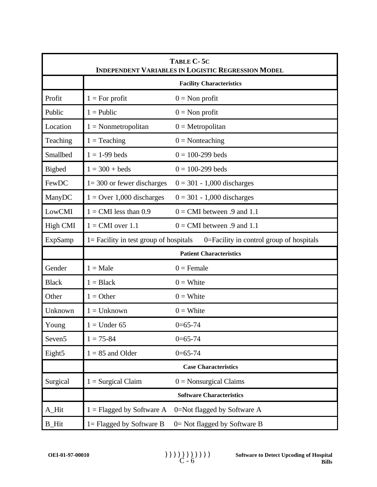| TABLE C-5C<br><b>INDEPENDENT VARIABLES IN LOGISTIC REGRESSION MODEL</b> |                                           |                                          |  |  |  |  |
|-------------------------------------------------------------------------|-------------------------------------------|------------------------------------------|--|--|--|--|
|                                                                         |                                           | <b>Facility Characteristics</b>          |  |  |  |  |
| Profit                                                                  | $1 = For profit$                          | $0 =$ Non profit                         |  |  |  |  |
| Public                                                                  | $1 =$ Public                              | $0 =$ Non profit                         |  |  |  |  |
| Location                                                                | $1 = \text{Nonmetropolitan}$              | $0 = Metropolitan$                       |  |  |  |  |
| Teaching                                                                | $1 = Teaching$                            | $0 = \text{Nonteaching}$                 |  |  |  |  |
| Smallbed                                                                | $1 = 1 - 99$ beds                         | $0 = 100 - 299$ beds                     |  |  |  |  |
| <b>Bigbed</b>                                                           | $1 = 300 + \text{beds}$                   | $0 = 100 - 299$ beds                     |  |  |  |  |
| FewDC                                                                   | $1 = 300$ or fewer discharges             | $0 = 301 - 1,000$ discharges             |  |  |  |  |
| ManyDC                                                                  | $1 =$ Over 1,000 discharges               | $0 = 301 - 1,000$ discharges             |  |  |  |  |
| LowCMI                                                                  | $1 = CMI$ less than 0.9                   | $0 = CMI$ between .9 and 1.1             |  |  |  |  |
| <b>High CMI</b>                                                         | $1 = CMI$ over 1.1                        | $0 = CMI$ between .9 and 1.1             |  |  |  |  |
| ExpSamp                                                                 | $1 =$ Facility in test group of hospitals | 0=Facility in control group of hospitals |  |  |  |  |
|                                                                         |                                           | <b>Patient Characteristics</b>           |  |  |  |  |
| Gender                                                                  | $1 = Male$                                | $0 =$ Female                             |  |  |  |  |
| <b>Black</b>                                                            | $1 = Black$                               | $0 =$ White                              |  |  |  |  |
| Other                                                                   | $1 = Other$                               | $0 =$ White                              |  |  |  |  |
| Unknown                                                                 | $1 =$ Unknown                             | $0 =$ White                              |  |  |  |  |
| Young                                                                   | $1 =$ Under 65                            | $0=65-74$                                |  |  |  |  |
| Seven <sub>5</sub>                                                      | $1 = 75 - 84$                             | $0=65-74$                                |  |  |  |  |
| Eight5                                                                  | $1 = 85$ and Older                        | $0=65-74$                                |  |  |  |  |
|                                                                         |                                           | <b>Case Characteristics</b>              |  |  |  |  |
| Surgical                                                                | $1 =$ Surgical Claim                      | $0 =$ Nonsurgical Claims                 |  |  |  |  |
|                                                                         |                                           | <b>Software Characteristics</b>          |  |  |  |  |
| A_Hit                                                                   | $1 =$ Flagged by Software A               | 0=Not flagged by Software A              |  |  |  |  |
| <b>B_Hit</b>                                                            | $1 =$ Flagged by Software B               | 0 = Not flagged by Software B            |  |  |  |  |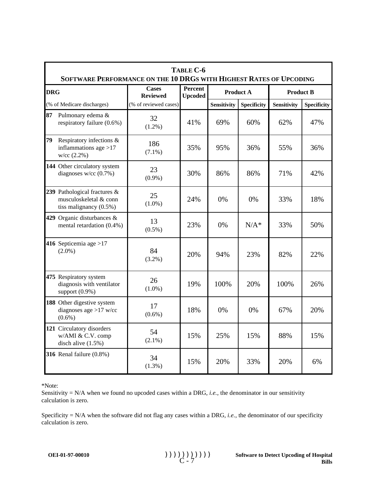|            | TABLE C-6<br>SOFTWARE PERFORMANCE ON THE 10 DRGS WITH HIGHEST RATES OF UPCODING     |                                 |                           |                    |                    |                    |                    |  |  |
|------------|-------------------------------------------------------------------------------------|---------------------------------|---------------------------|--------------------|--------------------|--------------------|--------------------|--|--|
| <b>DRG</b> |                                                                                     | <b>Cases</b><br><b>Reviewed</b> | Percent<br><b>Upcoded</b> | <b>Product A</b>   |                    | <b>Product B</b>   |                    |  |  |
|            | (% of Medicare discharges)                                                          | (% of reviewed cases)           |                           | <b>Sensitivity</b> | <b>Specificity</b> | <b>Sensitivity</b> | <b>Specificity</b> |  |  |
| 87         | Pulmonary edema &<br>respiratory failure (0.6%)                                     | 32<br>$(1.2\%)$                 | 41%                       | 69%                | 60%                | 62%                | 47%                |  |  |
| 79         | Respiratory infections &<br>inflammations age $>17$<br>w/cc (2.2%)                  | 186<br>$(7.1\%)$                | 35%                       | 95%                | 36%                | 55%                | 36%                |  |  |
|            | 144 Other circulatory system<br>diagnoses $w/cc$ (0.7%)                             | 23<br>$(0.9\%)$                 | 30%                       | 86%                | 86%                | 71%                | 42%                |  |  |
|            | 239 Pathological fractures &<br>musculoskeletal & conn<br>tiss malignancy $(0.5\%)$ | 25<br>$(1.0\%)$                 | 24%                       | 0%                 | 0%                 | 33%                | 18%                |  |  |
|            | 429 Organic disturbances &<br>mental retardation (0.4%)                             | 13<br>$(0.5\%)$                 | 23%                       | 0%                 | $N/A^*$            | 33%                | 50%                |  |  |
|            | 416 Septicemia age >17<br>$(2.0\%)$                                                 | 84<br>$(3.2\%)$                 | 20%                       | 94%                | 23%                | 82%                | 22%                |  |  |
|            | 475 Respiratory system<br>diagnosis with ventilator<br>support $(0.9\%)$            | 26<br>$(1.0\%)$                 | 19%                       | 100%               | 20%                | 100%               | 26%                |  |  |
|            | 188 Other digestive system<br>diagnoses age $>17$ w/cc<br>$(0.6\%)$                 | 17<br>$(0.6\%)$                 | 18%                       | 0%                 | 0%                 | 67%                | 20%                |  |  |
|            | 121 Circulatory disorders<br>w/AMI & C.V. comp<br>disch alive $(1.5\%)$             | 54<br>$(2.1\%)$                 | 15%                       | 25%                | 15%                | 88%                | 15%                |  |  |
|            | 316 Renal failure (0.8%)                                                            | 34<br>$(1.3\%)$                 | 15%                       | 20%                | 33%                | 20%                | 6%                 |  |  |

Sensitivity = N/A when we found no upcoded cases within a DRG, *i.e.*, the denominator in our sensitivity calculation is zero.

Specificity = N/A when the software did not flag any cases within a DRG, *i.e.*, the denominator of our specificity calculation is zero.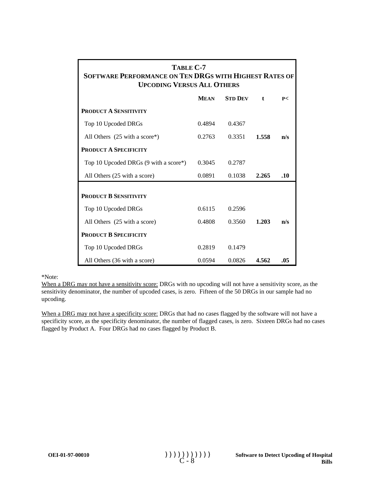| TABLE C-7<br>SOFTWARE PERFORMANCE ON TEN DRGS WITH HIGHEST RATES OF<br><b>UPCODING VERSUS ALL OTHERS</b> |             |                |              |     |  |  |
|----------------------------------------------------------------------------------------------------------|-------------|----------------|--------------|-----|--|--|
|                                                                                                          | <b>MEAN</b> | <b>STD DEV</b> | $\mathbf{t}$ | P<  |  |  |
| <b>PRODUCT A SENSITIVITY</b>                                                                             |             |                |              |     |  |  |
| Top 10 Upcoded DRGs                                                                                      | 0.4894      | 0.4367         |              |     |  |  |
| All Others $(25 \text{ with a score*})$                                                                  | 0.2763      | 0.3351         | 1.558        | n/s |  |  |
| <b>PRODUCT A SPECIFICITY</b>                                                                             |             |                |              |     |  |  |
| Top 10 Upcoded DRGs (9 with a score*)                                                                    | 0.3045      | 0.2787         |              |     |  |  |
| All Others (25 with a score)                                                                             | 0.0891      | 0.1038         | 2.265        | .10 |  |  |
| <b>PRODUCT B SENSITIVITY</b>                                                                             |             |                |              |     |  |  |
| Top 10 Upcoded DRGs                                                                                      | 0.6115      | 0.2596         |              |     |  |  |
| All Others (25 with a score)                                                                             | 0.4808      | 0.3560         | 1.203        | n/s |  |  |
| <b>PRODUCT B SPECIFICITY</b>                                                                             |             |                |              |     |  |  |
| Top 10 Upcoded DRGs                                                                                      | 0.2819      | 0.1479         |              |     |  |  |
| All Others (36 with a score)                                                                             | 0.0594      | 0.0826         | 4.562        | .05 |  |  |

When a DRG may not have a sensitivity score: DRGs with no upcoding will not have a sensitivity score, as the sensitivity denominator, the number of upcoded cases, is zero. Fifteen of the 50 DRGs in our sample had no upcoding.

When a DRG may not have a specificity score: DRGs that had no cases flagged by the software will not have a specificity score, as the specificity denominator, the number of flagged cases, is zero. Sixteen DRGs had no cases flagged by Product A. Four DRGs had no cases flagged by Product B.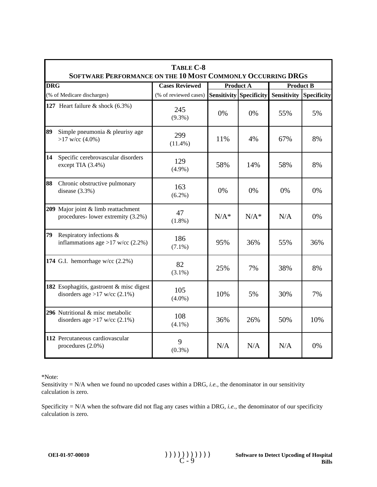|            | TABLE C-8<br><b>SOFTWARE PERFORMANCE ON THE 10 MOST COMMONLY OCCURRING DRGS</b> |                       |         |                                |                  |                    |  |
|------------|---------------------------------------------------------------------------------|-----------------------|---------|--------------------------------|------------------|--------------------|--|
| <b>DRG</b> |                                                                                 | <b>Cases Reviewed</b> |         | <b>Product A</b>               | <b>Product B</b> |                    |  |
|            | (% of Medicare discharges)                                                      | (% of reviewed cases) |         | <b>Sensitivity Specificity</b> | Sensitivity      | <b>Specificity</b> |  |
|            | 127 Heart failure $\&$ shock (6.3%)                                             | 245<br>$(9.3\%)$      | 0%      | 0%                             | 55%              | 5%                 |  |
| 89         | Simple pneumonia & pleurisy age<br>$>17$ w/cc (4.0%)                            | 299<br>$(11.4\%)$     | 11%     | 4%                             | 67%              | 8%                 |  |
| 14         | Specific cerebrovascular disorders<br>except TIA (3.4%)                         | 129<br>$(4.9\%)$      | 58%     | 14%                            | 58%              | 8%                 |  |
| 88         | Chronic obstructive pulmonary<br>disease $(3.3\%)$                              | 163<br>$(6.2\%)$      | 0%      | 0%                             | 0%               | $0\%$              |  |
|            | 209 Major joint & limb reattachment<br>procedures-lower extremity (3.2%)        | 47<br>$(1.8\%)$       | $N/A^*$ | $N/A^*$                        | N/A              | $0\%$              |  |
| 79         | Respiratory infections &<br>inflammations age >17 w/cc $(2.2\%)$                | 186<br>$(7.1\%)$      | 95%     | 36%                            | 55%              | 36%                |  |
|            | 174 G.I. hemorrhage w/cc $(2.2\%)$                                              | 82<br>$(3.1\%)$       | 25%     | 7%                             | 38%              | 8%                 |  |
|            | 182 Esophagitis, gastroent & misc digest<br>disorders age > 17 w/cc $(2.1\%)$   | 105<br>$(4.0\%)$      | 10%     | 5%                             | 30%              | 7%                 |  |
|            | 296 Nutritional & misc metabolic<br>disorders age > 17 w/cc $(2.1\%)$           | 108<br>$(4.1\%)$      | 36%     | 26%                            | 50%              | 10%                |  |
|            | 112 Percutaneous cardiovascular<br>procedures $(2.0\%)$                         | 9<br>$(0.3\%)$        | N/A     | N/A                            | N/A              | 0%                 |  |

Sensitivity = N/A when we found no upcoded cases within a DRG, *i.e.*, the denominator in our sensitivity calculation is zero.

Specificity = N/A when the software did not flag any cases within a DRG, *i.e.*, the denominator of our specificity calculation is zero.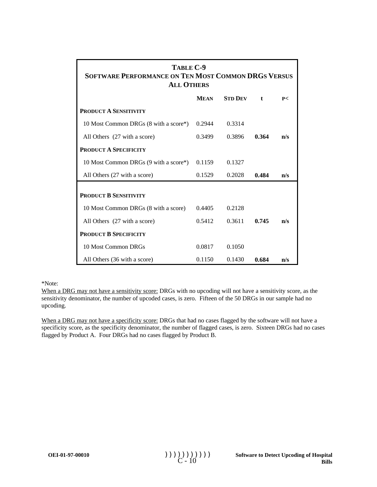| TABLE C-9<br><b>SOFTWARE PERFORMANCE ON TEN MOST COMMON DRGS VERSUS</b><br><b>ALL OTHERS</b> |             |                |              |     |  |  |  |  |
|----------------------------------------------------------------------------------------------|-------------|----------------|--------------|-----|--|--|--|--|
|                                                                                              | <b>MEAN</b> | <b>STD DEV</b> | $\mathbf{t}$ | P<  |  |  |  |  |
| <b>PRODUCT A SENSITIVITY</b>                                                                 |             |                |              |     |  |  |  |  |
| 10 Most Common DRGs (8 with a score*)                                                        | 0.2944      | 0.3314         |              |     |  |  |  |  |
| All Others (27 with a score)                                                                 | 0.3499      | 0.3896         | 0.364        | n/s |  |  |  |  |
| <b>PRODUCT A SPECIFICITY</b>                                                                 |             |                |              |     |  |  |  |  |
| 10 Most Common DRGs (9 with a score*)                                                        | 0.1159      | 0.1327         |              |     |  |  |  |  |
| All Others (27 with a score)                                                                 | 0.1529      | 0.2028         | 0.484        | n/s |  |  |  |  |
| <b>PRODUCT B SENSITIVITY</b>                                                                 |             |                |              |     |  |  |  |  |
| 10 Most Common DRGs (8 with a score)                                                         | 0.4405      | 0.2128         |              |     |  |  |  |  |
| All Others (27 with a score)                                                                 | 0.5412      | 0.3611         | 0.745        | n/s |  |  |  |  |
| <b>PRODUCT B SPECIFICITY</b>                                                                 |             |                |              |     |  |  |  |  |
| 10 Most Common DRGs                                                                          | 0.0817      | 0.1050         |              |     |  |  |  |  |
| All Others (36 with a score)                                                                 | 0.1150      | 0.1430         | 0.684        | n/s |  |  |  |  |

When a DRG may not have a sensitivity score: DRGs with no upcoding will not have a sensitivity score, as the sensitivity denominator, the number of upcoded cases, is zero. Fifteen of the 50 DRGs in our sample had no upcoding.

When a DRG may not have a specificity score: DRGs that had no cases flagged by the software will not have a specificity score, as the specificity denominator, the number of flagged cases, is zero. Sixteen DRGs had no cases flagged by Product A. Four DRGs had no cases flagged by Product B.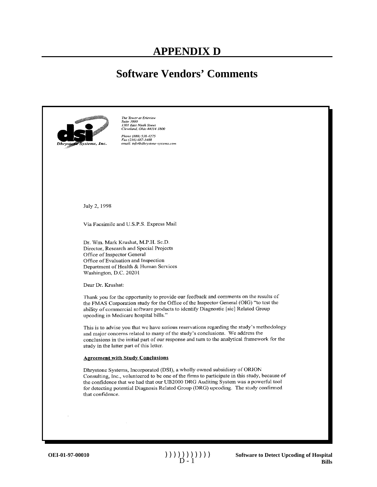### **Software Vendors' Comments**

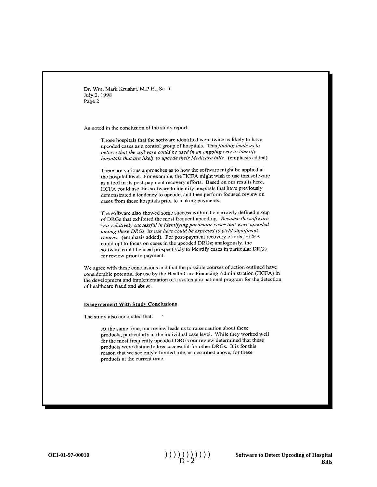As noted in the conclusion of the study report:

Those hospitals that the software identified were twice as likely to have upcoded cases as a control group of hospitals. This finding leads us to believe that the software could be used in an ongoing way to identify hospitals that are likely to upcode their Medicare bills. (emphasis added)

There are various approaches as to how the software might be applied at the hospital level. For example, the HCFA might wish to use this software as a tool in its post-payment recovery efforts. Based on our results here, HCFA could use this software to identify hospitals that have previously demonstrated a tendency to upcode, and then perform focused review on cases from these hospitals prior to making payments.

The software also showed some success within the narrowly defined group of DRGs that exhibited the most frequent upcoding. Because the software was relatively successful in identifying particular cases that were upcoded among these DRGs, its use here could be expected to yield significant returns. (emphasis added). For post-payment recovery efforts, HCFA could opt to focus on cases in the upcoded DRGs; analogously, the software could be used prospectively to identify cases in particular DRGs for review prior to payment.

We agree with these conclusions and that the possible courses of action outlined have considerable potential for use by the Health Care Financing Administration (HCFA) in the development and implementation of a systematic national program for the detection of healthcare fraud and abuse.

#### **Disagreement With Study Conclusions**

The study also concluded that:

At the same time, our review leads us to raise caution about these products, particularly at the individual case level. While they worked well for the most frequently upcoded DRGs our review determined that these products were distinctly less successful for other DRGs. It is for this reason that we see only a limited role, as described above, for these products at the current time.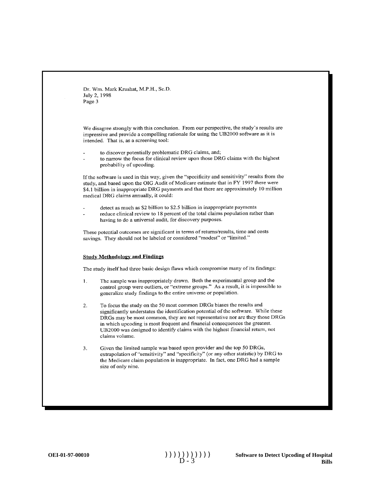We disagree strongly with this conclusion. From our perspective, the study's results are impressive and provide a compelling rationale for using the UB2000 software as it is intended. That is, as a screening tool:

- to discover potentially problematic DRG claims, and;
- to narrow the focus for clinical review upon those DRG claims with the highest probability of upcoding.

If the software is used in this way, given the "specificity and sensitivity" results from the study, and based upon the OIG Audit of Medicare estimate that in FY 1997 there were \$4.1 billion in inappropriate DRG payments and that there are approximately 10 million medical DRG claims annually, it could:

- detect as much as \$2 billion to \$2.5 billion in inappropriate payments
	- reduce clinical review to 18 percent of the total claims population rather than having to do a universal audit, for discovery purposes.

These potential outcomes are significant in terms of returns/results, time and costs savings. They should not be labeled or considered "modest" or "limited."

#### **Study Methodology and Findings**

The study itself had three basic design flaws which compromise many of its findings:

- $\mathbf{1}$ . The sample was inappropriately drawn. Both the experimental group and the control group were outliers, or "extreme groups." As a result, it is impossible to generalize study findings to the entire universe or population.
- To focus the study on the 50 most common DRGs biases the results and  $2.$ significantly understates the identification potential of the software. While these DRGs may be most common, they are not representative nor are they those DRGs in which upcoding is most frequent and financial consequences the greatest. UB2000 was designed to identify claims with the highest financial return, not claims volume.
- Given the limited sample was based upon provider and the top 50 DRGs, 3. extrapolation of "sensitivity" and "specificity" (or any other statistic) by DRG to the Medicare claim population is inappropriate. In fact, one DRG had a sample size of only nine.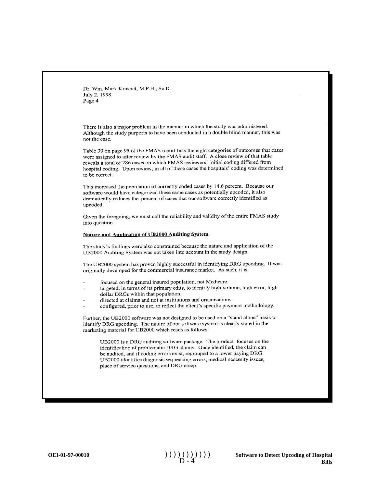There is also a major problem in the manner in which the study was administered. Although the study purports to have been conducted in a double blind manner, this was not the case.

Table 30 on page 95 of the FMAS report lists the eight categories of outcomes that cases were assigned to after review by the FMAS audit staff. A close review of that table reveals a total of 286 cases on which FMAS reviewers' initial coding differed from hospital coding. Upon review, in all of these cases the hospitals' coding was determined to be correct.

This increased the population of correctly coded cases by 14.6 percent. Because our software would have categorized these same cases as potentially upcoded, it also dramatically reduces the percent of cases that our software correctly identified as upcoded.

Given the foregoing, we must call the reliability and validity of the entire FMAS study into question.

#### Nature and Application of UB2000 Auditing System

The study's findings were also constrained because the nature and application of the UB2000 Auditing System was not taken into account in the study design.

The UB2000 system has proven highly successful in identifying DRG upcoding. It was originally developed for the commercial insurance market. As such, it is:

- focused on the general insured population, not Medicare.
- targeted, in terms of its primary edits, to identify high volume, high error, high dollar DRGs within that population.
- directed at claims and not at institutions and organizations.
- configured, prior to use, to reflect the client's specific payment methodology.

Further, the UB2000 software was not designed to be used on a "stand alone" basis to identify DRG upcoding. The nature of our software system is clearly stated in the marketing material for UB2000 which reads as follows:

UB2000 is a DRG auditing software package. The product focuses on the identification of problematic DRG claims. Once identified, the claim can be audited, and if coding errors exist, regrouped to a lower paying DRG. UB2000 identifies diagnosis sequencing errors, medical necessity issues, place of service questions, and DRG creep.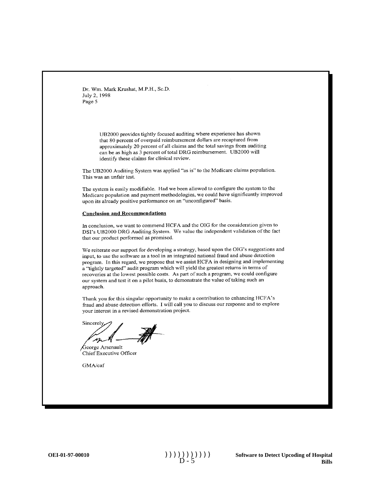> UB2000 provides tightly focused auditing where experience has shown that 80 percent of overpaid reimbursement dollars are recaptured from approximately 20 percent of all claims and the total savings from auditing can be as high as 3 percent of total DRG reimbursement. UB2000 will identify these claims for clinical review.

The UB2000 Auditing System was applied "as is" to the Medicare claims population. This was an unfair test.

The system is easily modifiable. Had we been allowed to configure the system to the Medicare population and payment methodologies, we could have significantly improved upon its already positive performance on an "unconfigured" basis.

#### **Conclusion and Recommendations**

In conclusion, we want to commend HCFA and the OIG for the consideration given to DSI's UB2000 DRG Auditing System. We value the independent validation of the fact that our product performed as promised.

We reiterate our support for developing a strategy, based upon the OIG's suggestions and input, to use the software as a tool in an integrated national fraud and abuse detection program. In this regard, we propose that we assist HCFA in designing and implementing a "tightly targeted" audit program which will yield the greatest returns in terms of recoveries at the lowest possible costs. As part of such a program, we could configure our system and test it on a pilot basis, to demonstrate the value of taking such an approach.

Thank you for this singular opportunity to make a contribution to enhancing HCFA's fraud and abuse detection efforts. I will call you to discuss our response and to explore your interest in a revised demonstration project.

Sincerely

George Arsenault Chief Executive Officer

GMA/caf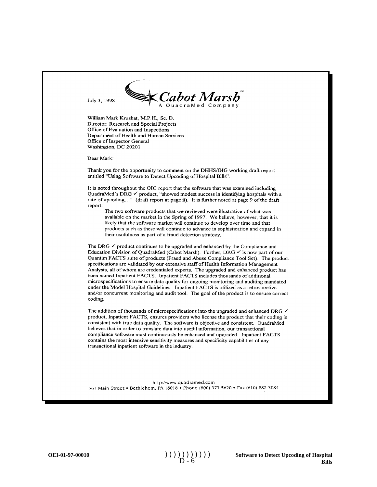July 3, 1998



William Mark Krushat, M.P.H., Sc. D. Director, Research and Special Projects Office of Evaluation and Inspections Department of Health and Human Services Office of Inspector General Washington, DC 20201

Dear Mark:

Thank you for the opportunity to comment on the DHHS/OIG working draft report entitled "Using Software to Detect Upcoding of Hospital Bills".

It is noted throughout the OIG report that the software that was examined including QuadraMed's DRG  $\checkmark$  product, "showed modest success in identifying hospitals with a rate of upcoding..." (draft report at page ii). It is further noted at page 9 of the draft report:

The two software products that we reviewed were illustrative of what was available on the market in the Spring of 1997. We believe, however, that it is likely that the software market will continue to develop over time and that products such as these will continue to advance in sophistication and expand in their usefulness as part of a fraud detection strategy.

The DRG  $\checkmark$  product continues to be upgraded and enhanced by the Compliance and Education Division of QuadraMed (Cabot Marsh). Further, DRG  $\checkmark$  is now part of our Quantim FACTS suite of products (Fraud and Abuse Compliance Tool Set). The product specifications are validated by our extensive staff of Health Information Management Analysts, all of whom are credentialed experts. The upgraded and enhanced product has been named Inpatient FACTS. Inpatient FACTS includes thousands of additional microspecifications to ensure data quality for ongoing monitoring and auditing mandated under the Model Hospital Guidelines. Inpatient FACTS is utilized as a retrospective and/or concurrent monitoring and audit tool. The goal of the product is to ensure correct coding.

The addition of thousands of microspecifications into the upgraded and enhanced DRG  $\checkmark$ product, Inpatient FACTS, ensures providers who license the product that their coding is consistent with true data quality. The software is objective and consistent. QuadraMed believes that in order to translate data into useful information, our transactional compliance software must continuously be enhanced and upgraded. Inpatient FACTS contains the most intensive sensitivity measures and specificity capabilities of any transactional inpatient software in the industry.

http://www.quadramed.com 561 Main Street • Bethlehem, PA 18018 • Phone (800) 373-5620 • Fax (610) 882-3084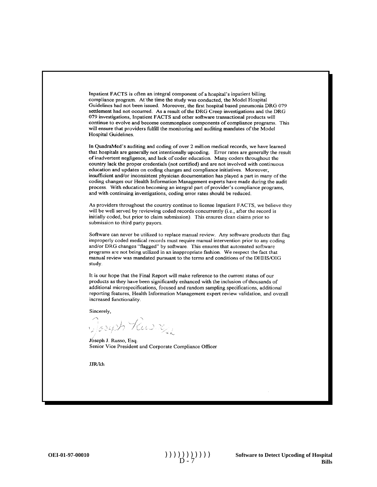Inpatient FACTS is often an integral component of a hospital's inpatient billing compliance program. At the time the study was conducted, the Model Hospital Guidelines had not been issued. Moreover, the first hospital based pneumonia DRG 079 settlement had not occurred. As a result of the DRG Creep investigations and the DRG 079 investigations, Inpatient FACTS and other software transactional products will continue to evolve and become commonplace components of compliance programs. This will ensure that providers fulfill the monitoring and auditing mandates of the Model Hospital Guidelines.

In QuadraMed's auditing and coding of over 2 million medical records, we have learned that hospitals are generally not intentionally upcoding. Error rates are generally the result of inadvertent negligence, and lack of coder education. Many coders throughout the country lack the proper credentials (not certified) and are not involved with continuous education and updates on coding changes and compliance initiatives. Moreover, insufficient and/or inconsistent physician documentation has played a part in many of the coding changes our Health Information Management experts have made during the audit process. With education becoming an integral part of provider's compliance programs, and with continuing investigations, coding error rates should be reduced.

As providers throughout the country continue to license Inpatient FACTS, we believe they will be well served by reviewing coded records concurrently (i.e., after the record is initially coded, but prior to claim submission). This ensures clean claims prior to submission to third party payors.

Software can never be utilized to replace manual review. Any software products that flag improperly coded medical records must require manual intervention prior to any coding and/or DRG changes "flagged" by software. This ensures that automated software programs are not being utilized in an inappropriate fashion. We respect the fact that manual review was mandated pursuant to the terms and conditions of the DHHS/OIG study.

It is our hope that the Final Report will make reference to the current status of our products as they have been significantly enhanced with the inclusion of thousands of additional microspecifications, focused and random sampling specifications, additional reporting features, Health Information Management expert review validation, and overall increased functionality.

Sincerely,

Joseph Rusing

Joseph J. Russo, Esq. Senior Vice President and Corporate Compliance Officer

JJR/kh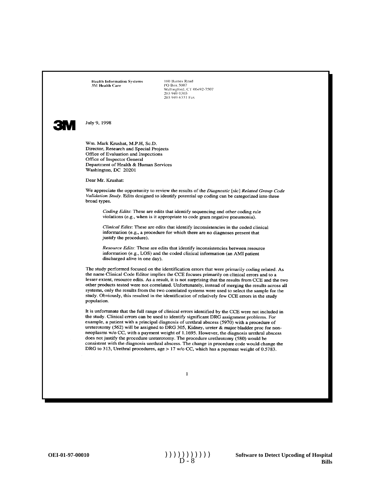**Health Information Systems 3M Health Care** 

100 Barnes Road<br>PO Box 5007<br>Wallingford, CT 06492-7507 203 949 0303 203 949 6331 Fax



July 9, 1998

Wm. Mark Krushat, M.P.H, Sc.D. Director, Research and Special Projects Office of Evaluation and Inspections Office of Inspector General Department of Health & Human Services Washington, DC 20201

Dear Mr. Krushat:

We appreciate the opportunity to review the results of the Diagnostic [sic] Related Group Code Validation Study. Edits designed to identify potential up coding can be categorized into three broad types.

Coding Edits: These are edits that identify sequencing and other coding rule violations (e.g., when is it appropriate to code gram negative pneumonia).

Clinical Edits: These are edits that identify inconsistencies in the coded clinical information (e.g., a procedure for which there are no diagnoses present that justify the procedure).

Resource Edits: These are edits that identify inconsistencies between resource information (e.g., LOS) and the coded clinical information (an AMI patient discharged alive in one day).

The study performed focused on the identification errors that were primarily coding related. As the name Clinical Code Editor implies the CCE focuses primarily on clinical errors and to a lesser extent, resource edits. As a result, it is not surprising that the results from CCE and the two other products tested were not correlated. Unfortunately, instead of merging the results across all systems, only the results from the two correlated systems were used to select the sample for the study. Obviously, this resulted in the identification of relatively few CCE errors in the study population.

It is unfortunate that the full range of clinical errors identified by the CCE were not included in the study. Clinical errors can be used to identify significant DRG assignment problems. For example, a patient with a principal diagnosis of urethral abscess (5970) with a procedure of ureterotomy (562) will be assigned to DRG 305, Kidney, ureter & major bladder proc for nonneoplasms w/o CC, with a payment weight of 1.1695. However, the diagnosis urethral abscess does not justify the procedure ureterotomy. The procedure urethrotomy (580) would be consistent with the diagnosis urethral abscess. The change in procedure code would change the DRG to 313, Urethral procedures, age > 17 w/o CC, which has a payment weight of 0.5783.

 $\mathbf{1}$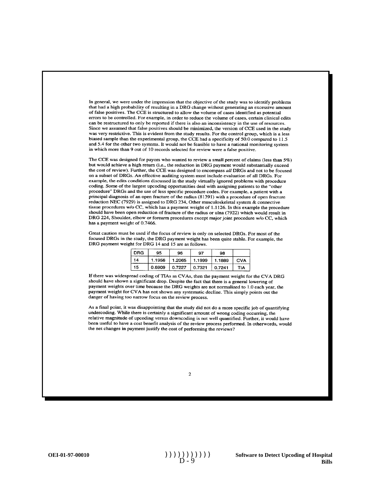In general, we were under the impression that the objective of the study was to identify problems that had a high probability of resulting in a DRG change without generating an excessive amount of false positives. The CCE is structured to allow the volume of cases identified as potential errors to be controlled. For example, in order to reduce the volume of cases, certain clinical edits can be restructured to only be reported if there is also an inconsistency in the use of resources. Since we assumed that false positives should be minimized, the version of CCE used in the study was very restrictive. This is evident from the study results. For the control group, which is a less biased sample than the experimental group, the CCE had a specificity of 50.0 compared to 11.5 and 5.4 for the other two systems. It would not be feasible to have a national monitoring system in which more than 9 out of 10 records selected for review were a false positive.

The CCE was designed for payors who wanted to review a small percent of claims (less than 5%) but would achieve a high return (i.e., the reduction in DRG payment would substantially exceed the cost of review). Further, the CCE was designed to encompass all DRGs and not to be focused on a subset of DRGs. An effective auditing system must include evaluation of all DRGs. For example, the edits conditions discussed in the study virtually ignored problems with procedure coding. Some of the largest upcoding opportunities deal with assigning patients to the "other procedure" DRGs and the use of less specific procedure codes. For example, a patient with a principal diagnosis of an open fracture of the radius (81391) with a procedure of open fracture reduction NEC (7929) is assigned to DRG 234, Other musculoskeletal system & connective tissue procedures w/o CC, which has a payment weight of 1.1126. In this example the procedure should have been open reduction of fracture of the radius or ulna (7922) which would result in DRG 224, Shoulder, elbow or forearm procedures except major joint procedure w/o CC, which has a payment weight of 0.7466.

Great caution must be used if the focus of review is only on selected DRGs. For most of the focused DRGs in the study, the DRG payment weight has been quite stable. For example, the DRG payment weight for DRG 14 and 15 are as follows.

| <b>DRG</b> | 95     | 96     | 97     | 98     |            |
|------------|--------|--------|--------|--------|------------|
| 14         | 1.1956 | 1.2065 | 1.1999 | 1.1889 | CVA        |
| 15         | 0.6909 | 0.7227 | 0.7321 | 0.7241 | <b>TIA</b> |

If there was widespread coding of TIAs as CVAs, then the payment weight for the CVA DRG should have shown a significant drop. Despite the fact that there is a general lowering of payment weights over time because the DRG weights are not normalized to 1.0 each year, the payment weight for CVA has not shown any systematic decline. This simply points out the danger of having too narrow focus on the review process.

As a final point, it was disappointing that the study did not do a more specific job of quantifying undercoding. While there is certainly a significant amount of wrong coding occurring, the relative magnitude of upcoding versus downcoding is not well quantified. Further, it would have been useful to have a cost benefit analysis of the review process performed. In otherwords, would the net changes in payment justify the cost of performing the reviews?

 $\overline{2}$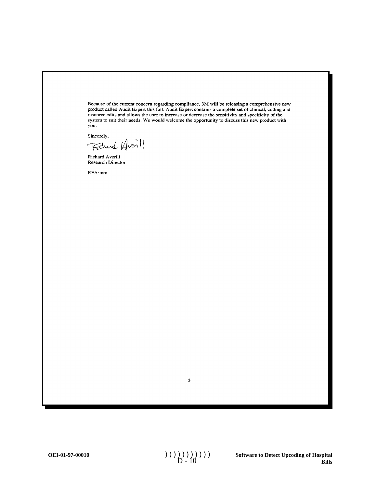Because of the current concern regarding compliance, 3M will be releasing a comprehensive new product called Audit Expert this fall. Audit Expert contains a complete set of clinical, coding and resource edits and allows the user to increase or decrease the sensitivity and specificity of the system to suit their needs. We would welcome the opportunity to discuss this new product with you.

Sincerely,

Fichard Huerill

Richard Averill Research Director

RFA:mm

 $\overline{\mathbf{3}}$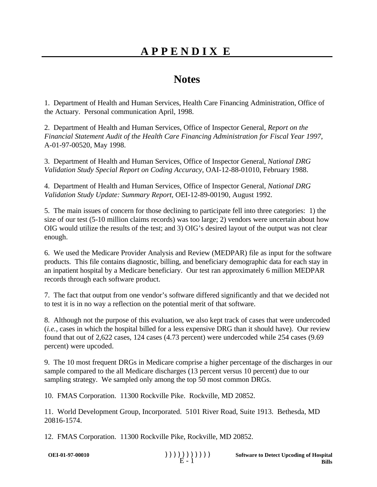## **APPENDIX E**

### **Notes**

1. Department of Health and Human Services, Health Care Financing Administration, Office of the Actuary. Personal communication April, 1998.

2. Department of Health and Human Services, Office of Inspector General, *Report on the Financial Statement Audit of the Health Care Financing Administration for Fiscal Year 1997*, A-01-97-00520, May 1998.

3. Department of Health and Human Services, Office of Inspector General, *National DRG Validation Study Special Report on Coding Accuracy*, OAI-12-88-01010, February 1988.

4. Department of Health and Human Services, Office of Inspector General, *National DRG Validation Study Update: Summary Report*, OEI-12-89-00190, August 1992.

5. The main issues of concern for those declining to participate fell into three categories: 1) the size of our test (5-10 million claims records) was too large; 2) vendors were uncertain about how OIG would utilize the results of the test; and 3) OIG's desired layout of the output was not clear enough.

6. We used the Medicare Provider Analysis and Review (MEDPAR) file as input for the software products. This file contains diagnostic, billing, and beneficiary demographic data for each stay in an inpatient hospital by a Medicare beneficiary. Our test ran approximately 6 million MEDPAR records through each software product.

7. The fact that output from one vendor's software differed significantly and that we decided not to test it is in no way a reflection on the potential merit of that software.

8. Although not the purpose of this evaluation, we also kept track of cases that were undercoded (*i.e.*, cases in which the hospital billed for a less expensive DRG than it should have). Our review found that out of 2,622 cases, 124 cases (4.73 percent) were undercoded while 254 cases (9.69 percent) were upcoded.

9. The 10 most frequent DRGs in Medicare comprise a higher percentage of the discharges in our sample compared to the all Medicare discharges (13 percent versus 10 percent) due to our sampling strategy. We sampled only among the top 50 most common DRGs.

10. FMAS Corporation. 11300 Rockville Pike. Rockville, MD 20852.

11. World Development Group, Incorporated. 5101 River Road, Suite 1913. Bethesda, MD 20816-1574.

12. FMAS Corporation. 11300 Rockville Pike, Rockville, MD 20852.